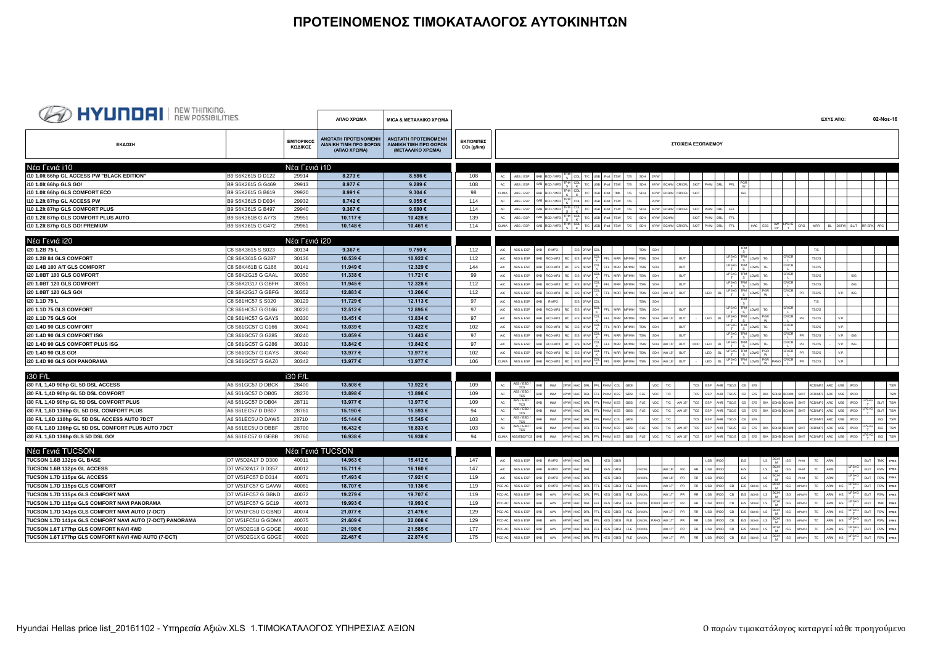## **ΠΡΟΤΕΙΝΟΜΕΝΟΣ ΤΙΜΟΚΑΤΑΛΟΓΟΣ ΑΥΤΟΚΙΝΗΤΩΝ**

| <b>BO HYUNDAI</b> REW THINKING.                          |                   |                      | ΑΠΛΟ ΧΡΩΜΑ                                                     | <b>MICA &amp; METAΛΛΙΚΟ ΧΡΩΜΑ</b>                                   |                          |        |                           |                                                    |                     |                                      |            |                   |                                       |             |                     |          |                              |                          |                     |                                    |                                                      | ΙΣΧΥΣ ΑΠΟ:  |                                                                                  | 02-Noε-16                                        |             |
|----------------------------------------------------------|-------------------|----------------------|----------------------------------------------------------------|---------------------------------------------------------------------|--------------------------|--------|---------------------------|----------------------------------------------------|---------------------|--------------------------------------|------------|-------------------|---------------------------------------|-------------|---------------------|----------|------------------------------|--------------------------|---------------------|------------------------------------|------------------------------------------------------|-------------|----------------------------------------------------------------------------------|--------------------------------------------------|-------------|
| ΕΚΔΟΣΗ                                                   |                   | ΕΜΠΟΡΙΚΟΣ<br>ΚΩΔΙΚΟΣ | ΑΝΩΤΑΤΗ ΠΡΟΤΕΙΝΟΜΕΝΗ<br>ΛΙΑΝΙΚΗ ΤΙΜΗ ΠΡΟ ΦΟΡΩΝ<br>(ΑΠΛΟ ΧΡΩΜΑ) | ΑΝΩΤΑΤΗ ΠΡΟΤΕΙΝΟΜΕΝΗ<br>ΛΙΑΝΙΚΗ ΤΙΜΗ ΠΡΟ ΦΟΡΩΝ<br>(ΜΕΤΑΛΛΙΚΟ ΧΡΩΜΑ) | ΕΚΠΟΜΠΕΣ<br>$CO2$ (g/km) |        |                           |                                                    |                     |                                      |            |                   |                                       |             | ΣΤΟΙΧΕΙΑ ΕΞΟΠΛΙΣΜΟΥ |          |                              |                          |                     |                                    |                                                      |             |                                                                                  |                                                  |             |
| Νέα Γενιά i10                                            |                   | Νέα Γενιά i10        |                                                                |                                                                     |                          |        |                           |                                                    |                     |                                      |            |                   |                                       |             |                     |          |                              |                          |                     |                                    |                                                      |             |                                                                                  |                                                  |             |
| i10 1.0lt 66hp GL ACCESS PW "BLACK EDITION"              | B9 S6K2615 D D122 | 29914                | 8.273€                                                         | 8.586€                                                              | 108                      | AC     | ABS / ESP                 | 6AB RCD / MP3 TPM CDL T/C USB Pod TSW T/S          |                     |                                      |            | SDH 2P/W          |                                       |             |                     |          |                              |                          |                     |                                    |                                                      |             |                                                                                  |                                                  |             |
| i10 1.0lt 66hp GLS GO!                                   | B9 S6K2615 G G469 | 29913                | 8.977€                                                         | 9.289€                                                              | 108                      | $AC$   | ABS / ESP                 | TPM CDL<br>S<br>6AB RCD / MP3                      |                     | T/C USB iPod TSW                     | T/S        |                   | SDH 4P/W BCH/M CR/CRL                 |             | SKIT PHM DRL        |          | FFL                          |                          |                     |                                    |                                                      |             |                                                                                  |                                                  |             |
| i10 1.0lt 66hp GLS COMFORT ECO                           | B9 S5K2615 G B619 | 29920                | 8.991€                                                         | 9.304€                                                              | 98                       | CLIMA  | ABS / ESP                 | PM CDL<br>S K<br>6AB RCD / MP3                     |                     | T/C USB iPod TMK                     | T/S        |                   | SDH 4P/W BCH/M CR/CRL                 |             | <b>SKIT</b>         |          |                              | <b>ISG</b>               |                     |                                    |                                                      |             |                                                                                  |                                                  |             |
| i10 1.2lt 87hp GL ACCESS PW                              | B9 S6K3615 D D034 | 29932                | 8.742€                                                         | 9.055€                                                              | 114                      | AC     | ABS / ESP                 | $\frac{PM}{CDL}$<br>6AB<br>RCD / MP3               | T/C USB             | <b>TSW</b>                           | T/S        | 2P/W              |                                       |             |                     |          |                              |                          |                     |                                    |                                                      |             |                                                                                  |                                                  |             |
| i10 1.2lt 87hp GLS COMFORT PLUS                          | B9 S6K3615 G B497 | 29940                | 9.367€                                                         | 9.680€                                                              | 114                      |        | ABS / ESP                 | TPM CDL<br>6AB RCD / MP3                           | T/C USB             | iPod TSW                             | T/S        |                   | SDH 4P/W BCH/M CR/CRL                 |             | SKIT<br>PH/M        |          | FFL                          |                          |                     |                                    |                                                      |             |                                                                                  |                                                  |             |
| i10 1.2lt 87hp GLS COMFORT PLUS AUTO                     | B9 S6K361B G A773 | 29951                | 10.117€                                                        | 10.428€                                                             | 139                      | AC.    | ABS / ESP                 | 6AB RCD / MP3 TPM CDL T/C USB Pod TSW              |                     |                                      | T/S        |                   | SDH 4P/W BCH/M                        |             | SKIT PHM DRL        |          | FFL                          |                          |                     |                                    |                                                      |             |                                                                                  |                                                  |             |
| i10 1.2lt 87hp GLS GO! PREMIUM                           | B9 S6K3615 G G472 | 29961                | 10.148€                                                        | 10.461€                                                             | 114                      | CLIMA  | ABS / ESP                 | 6AB RCD / MP3 TPM CDL T/C USB Pod TSW              |                     |                                      | T/S        |                   | SDH 4P/W BCHM CR/CRL SKIT PHM DRL FFL |             |                     |          |                              |                          |                     |                                    |                                                      |             |                                                                                  | HAC ESS AW LPS+G CRO MRR BL DSFW BL/T RRSPK ARC  |             |
|                                                          |                   |                      |                                                                |                                                                     |                          |        |                           |                                                    |                     |                                      |            |                   |                                       |             |                     |          |                              |                          |                     |                                    |                                                      |             |                                                                                  |                                                  |             |
| Νέα Γενιά i20                                            |                   | Νέα Γενιά <u>i20</u> |                                                                |                                                                     |                          |        |                           |                                                    |                     |                                      |            |                   |                                       |             |                     |          |                              |                          |                     |                                    |                                                      |             |                                                                                  |                                                  |             |
| i20 1.2B 75 L                                            | C8 S6K3615 S S023 | 30134                | 9.367 $\epsilon$                                               | 9.750 €                                                             | 112                      | A/C    | ABS & ESP                 | R-MP3<br>6AB                                       | E/S 2P/W CDL        |                                      |            | TSW SDH           |                                       |             |                     |          |                              |                          |                     | CR/CR                              | T/S                                                  |             |                                                                                  |                                                  |             |
| i20 1.2B 84 GLS COMFORT                                  | C8 S6K3615 G G287 | 30136                | 10.539€                                                        | 10.922€                                                             | 112                      | A/C    | ABS & ESP                 | RCD-MP3 RC E/S 4P/W CDL FFL MRR MPMH               |                     |                                      |            | FSW SDH           |                                       | BL/T        |                     |          | $LPS+G$                      | TPM<br>LDWS TG<br>TPM    |                     |                                    | TSC/S                                                |             |                                                                                  |                                                  |             |
| i20 1.4B 100 A/T GLS COMFORT                             | C8 S6K461B G G166 | 30141                | 11.949€                                                        | 12.329€                                                             | 144                      | A/C    | ABS & ESP                 | RCD-MP3 RC E/S 4P/W CDL FFL MRR MPMH<br>6AB        |                     |                                      |            | TSW SDH           |                                       | BL/T        |                     |          | $LPS+G$                      | LDWS TG<br><b>TPM</b>    |                     | CR/CR                              | TSC/S                                                |             |                                                                                  |                                                  |             |
| i20 1.0BT 100 GLS COMFORT                                | C8 S6K2G15 G GAAL | 30350                | 11.338€                                                        | 11.721€                                                             | 99                       | A/C    | ABS & ESP                 | RCD-MP3 RC E/S 4P/W CDL FFL MRR MPMH<br>6AB        |                     |                                      |            | TSW SDH           |                                       | BL/T        |                     |          | $LPS+G$                      | LDWS TG<br>TPM           |                     | CR/CR                              | TSC/S                                                |             | $ISG$                                                                            |                                                  |             |
| i20 1.0BT 120 GLS COMFORT                                | C8 S6K2G17 G GBFH | 30351                | 11.945€                                                        | 12.328€                                                             | 112                      | A/C    | ABS & ESP                 | RCD-MP3 RC E/S 4P/W CDL FFL MRR<br>6AB             |                     |                                      |            | TSW SDH           |                                       | <b>BL/T</b> |                     |          | $LPS + G$                    | <b>DWS</b><br>TPM        | TG                  | CR/CR<br>CR/CR                     | TSC/S                                                |             | <b>ISG</b>                                                                       |                                                  |             |
| i20 1.0BT 120 GLS GO!                                    | C8 S6K2G17 G GBFG | 30352                | 12.883€                                                        | 13.266€                                                             | 112                      |        | ABS & ESP                 | RCD-MP3<br><b>GAR</b>                              | RC E/S 4P/W CDL FFL |                                      | MRR MPM/H  | TSW SDH AW 15     |                                       | BL/T        | LED                 |          | $LPS+G$                      | <b>DWS</b>               | $^{PGR}_{W}$        |                                    | <b>PR</b><br>TSC/S                                   |             | V.P. ISG                                                                         |                                                  |             |
| i20 1.1D 75 L                                            | C8 S61HC57 S S020 | 30129                | 11.729€                                                        | 12.113€                                                             | 97                       | A/C    | ABS & ESP                 | R-MP3<br><b>BAB</b>                                | E/S 2P/W CDL        |                                      |            | SDH<br>TSW        |                                       |             |                     |          |                              |                          |                     |                                    | T/S                                                  |             |                                                                                  |                                                  |             |
| i20 1.1D 75 GLS COMFORT                                  | C8 S61HC57 G G166 | 30220                | 12.512€                                                        | 12.895€                                                             | 97                       |        | ABS & ESP                 | RCD-MP3                                            | RC E/S 4P/W CDL FFL |                                      |            | SDH<br>TSW        |                                       | <b>BL/T</b> |                     |          | LPS+G TPM<br>T S             |                          | TĠ                  |                                    | TSC/S                                                |             |                                                                                  |                                                  |             |
| i20 1.1D 75 GLS GO!                                      | C8 S61HC57 G GAYS | 30330                | 13.451€                                                        | 13.834 €                                                            | 97                       | A/C    | ABS & ESP                 | RCD-MP3<br>RC E/S                                  | $4P/W$ CDL FFL      | MRR                                  |            | TSW SDH AW 15"    |                                       | BL/T        | LED                 |          | $LPS+G$ TPM<br>$T$ S         |                          | W                   | CR/CR<br>CR/CR                     | <b>PR</b><br>TSC/S                                   |             | V.P.                                                                             |                                                  |             |
| i20 1.4D 90 GLS COMFORT                                  | C8 S61GC57 G G166 | 30341                | 13.039€                                                        | 13.422€                                                             | 102                      |        | ABS & ESP                 | RCD-MP3                                            |                     | RC E/S 4P/W CDL FFL MRR              |            | SDH<br>TSW        |                                       | <b>BL/T</b> |                     |          | $LPS+G$ TPM                  | LDWS                     | TG                  |                                    | TSC/S                                                |             | V.P.                                                                             |                                                  |             |
| i20 1.4D 90 GLS COMFORT ISG                              | C8 S61GC57 G G285 | 30240                | 13.059€                                                        | 13.443€                                                             | 97                       | A/C    | ABS & ESP                 | RCD-MP3 RC E/S 4P/W CDL FFL MRR MPMH<br><b>GAR</b> |                     |                                      |            | TSW SDH           |                                       | <b>BL/T</b> |                     |          | $LPS + G$                    | <b>TPM</b><br><b>DWS</b> | TG                  | CR/CR                              | <b>PR</b><br>TSC/S                                   |             | $V.P.$ ISG                                                                       |                                                  |             |
| i20 1.4D 90 GLS COMFORT PLUS ISG                         | C8 S61GC57 G G286 | 30310                | 13.842€                                                        | 13.842€                                                             | 97                       | A/C    | ABS & ESP                 | RCD-MP3<br><b>GAR</b>                              |                     | RC E/S 4P/W CDL FFL MRR MPMH         |            | TSW SDH AW 15     |                                       | BL/T        | DOC LED             |          | $\frac{1}{T}$                | <b>TPM</b><br><b>DWS</b> | TG                  | $\mathsf{CR}/\mathsf{CR}$<br>CR/CR | PR<br>TSC/S                                          |             | $V.P.$ ISG                                                                       |                                                  |             |
| i20 1.4D 90 GLS GO!                                      | C8 S61GC57 G GAYS | 30340                | 13.977 €                                                       | 13.977 €                                                            | 102                      | A/C    | ABS & ESP                 | RCD-MP3 RC E/S 4P/W CDL FFL MRR MPMH<br>6AB        |                     |                                      |            |                   | TSW SDH AW 15"                        | BL/T        | LED                 |          | $T_{T}^{\text{PS}+\text{G}}$ | LDWS                     | PGR<br>W            |                                    | PR<br>TSC/S                                          |             | V.P.                                                                             |                                                  |             |
| i20 1.4D 90 GLS GO! PANORAMA                             | C8 S61GC57 G GAZ0 | 30342                | 13.977€                                                        | 13.977€                                                             | 106                      | CLIMA  | ABS & ESP                 | 6AB RCD-MP3 RC E/S 4P/W CDL FFL MRR MPMH           |                     |                                      |            |                   | TSW SDH AW 16"                        | BL/T        | LED                 |          | $LPS+G$                      |                          | LDWS PGR PANO CR/CR |                                    | PR<br>TSC/S                                          |             | V.P.                                                                             |                                                  |             |
| i30 F/L                                                  |                   | i30 F/L              |                                                                |                                                                     |                          |        |                           |                                                    |                     |                                      |            |                   |                                       |             |                     |          |                              |                          |                     |                                    |                                                      |             |                                                                                  |                                                  |             |
| i30 F/L 1,4D 90hp GL 5D DSL ACCESS                       | A6 S61GC57 D DBCK | 28400                | 13.508€                                                        | 13.922€                                                             | 109                      | AC     | ABS / EBD /<br><b>TCS</b> | <b>IMM</b>                                         |                     | 2P/W HAC DRL FFL PH/M CDL            | GBSI       | VDC               | T/C                                   |             | TCS ESP             |          | NHR TSC/S CB E/S             |                          |                     |                                    |                                                      |             | RCD/MP3 ARC USB IPOD                                                             |                                                  | TSW         |
| i30 F/L 1,4D 90hp GL 5D DSL COMFORT                      | A6 S61GC57 D DB05 | 28270                | 13.898€                                                        | 13.898€                                                             | 109                      |        | ABS / EBD /<br>TCS        | <b>IMM</b>                                         |                     | DRL FFL PH/M KES                     | GBSL       | VDC<br>FLE        | T/C                                   |             | TCS ESP             |          |                              |                          |                     |                                    | TSC/S CB E/S B/A SDHB BCH/M SKIT RCD/MP3 ARC USB POD |             |                                                                                  |                                                  | TSW         |
| i30 F/L 1,4D 90hp GL 5D DSL COMFORT PLUS                 | A6 S61GC57 D DB04 | 28711                | 13.977€                                                        | 13.977€                                                             | 109                      |        | ABS / EBD /<br><b>TCS</b> | <b>BAM</b>                                         |                     | 4P/W HAC DRL FFL PH/M KES            | GBSL       | VDC<br>FLE        | T/C AW 15"                            |             | TCS ESP             |          |                              |                          |                     |                                    | TSC/S CB E/S B/A SDHB BCH/M SKIT RCD/MP3 ARC         |             |                                                                                  | USB $IPOD$ $LPS+G$ $BL/T$ TSW                    |             |
| i30 F/L 1,6D 136hp GL 5D DSL COMFORT PLUS                | A6 S61EC57 D DB07 | 28761                | 15.190€                                                        | 15.593€                                                             | 94                       |        | ABS / EBD /<br>TCS        | <b>IMM</b>                                         |                     | 4P/W HAC DRL FFL PH/M KES GBSI       |            | VDC<br>FLE        | T/C AW 15"                            |             | TCS ESP             | AHR.     |                              |                          |                     |                                    | TSC/S CB E/S B/A SDHB BCH/M SKIT RCD/MP3 ARC USB POD |             |                                                                                  | $LPS + G$ BL/T TSW                               |             |
| i30 F/L 1,6D 110hp GL 5D DSL ACCESS AUTO 7DCT            | A6 S61EC5U D DAW5 | 28710                | 15.144 €                                                       | 15.545€                                                             | 103                      | AC     | ABS / EBD /<br>TCS        | <b>IMM</b>                                         |                     | 2P/W HAC DRL FFL PH/M CDL            | GRSL       | VDC               | $\mathsf{T}/\mathbb{C}$               |             | TCS ESP             |          | AHR TSC/S CB E/S             |                          |                     |                                    |                                                      |             | RCD/MP3 ARC USB IPOD                                                             |                                                  | ISG TSW     |
| i30 F/L 1,6D 136hp GL 5D DSL COMFORT PLUS AUTO 7DCT      | A6 S61EC5U D DBBF | 28700                | 16.432€                                                        | 16.833€                                                             | 103                      | AC     | ABS / EBD /<br>TCS        | 4P/W HAC DRL FFL PH/M KES GBSI<br><b>IMM</b>       |                     |                                      |            |                   | FLE VDC T/C AW 15"                    |             |                     |          |                              |                          |                     |                                    |                                                      |             | TCS ESP AHR TSCS CB E/S B/A SDHB BCH/M SKIT RCD/MP3 ARC USB POD                  | $\frac{\text{LPS} + \text{G}}{\text{T}}$ ISG TSW |             |
| i30 F/L 1,6D 136hp GLS 5D DSL GO!                        | A6 S61EC57 G GEBB | 28760                | 16.938€                                                        | 16.938€                                                             | 94                       |        | CLIMA ABS/EBD/TCS 6AB     | MM 4P/W HAC DRL FFL PH/M KES GBSI                  |                     |                                      |            |                   |                                       |             |                     |          |                              |                          |                     |                                    |                                                      |             | FLE VDC T/C AW16 TCS ESP AHR TSCS CB E/S B/A SDHB BCHM SKIT RCD/MP3 ARC USB IPOD | $\frac{\text{LPS} + \text{G}}{\text{T}}$ ISG TSW |             |
|                                                          |                   |                      |                                                                |                                                                     |                          |        |                           |                                                    |                     |                                      |            |                   |                                       |             |                     |          |                              |                          |                     |                                    |                                                      |             |                                                                                  |                                                  |             |
| Νέα Γενιά TUCSON                                         |                   |                      | Νέα Γενιά TUCSON                                               |                                                                     |                          |        |                           |                                                    |                     |                                      |            |                   |                                       |             |                     |          |                              |                          |                     |                                    |                                                      |             |                                                                                  |                                                  |             |
| TUCSON 1.6B 132ps GL BASE                                | D7 W5D2A17 D D300 | 40011                | 14.963€                                                        | 15.412€                                                             | 147                      | A/C    | ABS & ESP                 | 6AB<br>R-MP3 4P/W HAC DRL                          |                     | KES GBSI                             |            |                   |                                       |             |                     | USB IPOD |                              | E/S                      | $LS \frac{BCHV}{M}$ | <b>ISG</b>                         | PHM                                                  | TC ARM      |                                                                                  | BL/T TMK TPMS                                    |             |
| TUCSON 1.6B 132ps GL ACCESS                              | D7 W5D2A17 D D357 | 40012                | 15.711€                                                        | 16.160€                                                             | 147                      | A/C    | ABS & ESP                 | R-MP3 4P/W HAC DRL<br>6AB                          |                     | KES GBSI                             |            | CR/CRL            | AW 16"                                | PR          | <b>RR</b>           | USB POD  |                              | E/S                      | $LS$ BCHV           | <b>ISG</b>                         | PHM                                                  | TC ARM      | $\frac{\text{LPS} + \text{G}}{\text{T}}$                                         | BL/T FSW TPMS                                    |             |
| TUCSON 1.7D 115ps GL ACCESS                              | D7 W51FC57 D D314 | 40071                | 17.493€                                                        | 17.921€                                                             | 119                      | A/C    | ABS & ESP                 | R-MP3<br>4P/W HAC DRL<br>6AB                       |                     | <b>KES GBSI</b>                      |            | CR/CRL            | AW 16°                                | PR          | RR .                | USB POD  |                              | E/S                      | $LS$ $BCHV$         | <b>ISG</b>                         | PHM                                                  | TC ARM      | $LPS+G$                                                                          | BL/T FSW TPMS                                    |             |
| <b>TUCSON 1.7D 115ps GLS COMFORT</b>                     | D7 W51FC57 G GAVW | 40081                | 18.707€                                                        | 19.136€                                                             | 119                      | PCC-A  | ABS & ESP                 | R-MP3<br>4P/W HAC DRL FFL                          |                     | <b>KES</b> GBSI                      | FLE        | <b>CR/CRL</b>     | AW 17                                 | PR          | RR.<br>USB          | POD      | CB                           | E/S SDHB                 | $LS$ BCH            | <b>ISG</b>                         | TC<br><b>MPM/H</b>                                   | ARM         | $LPS+G$<br><b>HS</b>                                                             | <b>BL/T</b><br>FSW TPMS                          |             |
| TUCSON 1.7D 115ps GLS COMFORT NAVI                       | D7 W51FC57 G GBND | 40072                | 19.279€                                                        | 19.707€                                                             | 119                      | PCC-AC | ABS & ESP                 | AVN<br>4P/W HAC                                    |                     | DRL FFL KES GBSI                     | FLE CR/CRL |                   | AW 17                                 | PR          | <b>RR</b><br>USB    | POD      | CB                           | E/S SDHB                 | $LS$ BCH            | ISG                                | TC<br>MPM/H                                          | ${\sf ARM}$ | $LPS+G$<br><b>HS</b>                                                             | <b>BL/T</b><br>FSW TPMS                          |             |
| TUCSON 1.7D 115ps GLS COMFORT NAVI PANORAMA              | D7 W51FC57 G GC19 | 40073                | 19.993€                                                        | 19.993€                                                             | 119                      | PCC-A  | ABS & ESP                 |                                                    |                     |                                      | FLE        | CR/CRL PANO AW 17 |                                       | PR          | RR.<br>USB          |          | $_{\rm CB}$                  | E/S<br>SDHB              | $LS$ BCH/           | <b>ISG</b>                         | TC<br><b>MPM/H</b>                                   | ARM         | $T_{T}^{\text{PS+G}}$                                                            | <b>BL/T</b><br><b>TMK</b>                        |             |
| TUCSON 1.7D 141ps GLS COMFORT NAVI AUTO (7-DCT)          | D7 W51FC5U G GBND | 40074                | 21.077€                                                        | 21.476€                                                             | 129                      | PCC-AC | ABS & ESP                 | AVN<br>4P/W HAC                                    | DRL FFL             | KES GBSI                             | FLE        | CR/CRL            | AW 17                                 | PR          | <b>RR</b><br>USB    | POD      | CB                           | E/S SDHB                 | $LS$ BCHV           | ISG                                | TC<br><b>MPM/H</b>                                   | ARM         | $LPS+G$<br><b>HS</b>                                                             | BL/T FSW TPMS                                    |             |
| TUCSON 1.7D 141ps GLS COMFORT NAVI AUTO (7-DCT) PANORAMA | D7 W51FC5U G GDMX | 40075                | 21.609€                                                        | 22.008€                                                             | 129                      | PCC-AC | ABS & ESP                 | AVN                                                |                     | 4P/W HAC DRL FFL KES GBSI            | FLE        | CR/CRL PANO AW 17 |                                       | <b>PR</b>   | RR.<br>USB          | POD      | $_{\rm CB}$                  |                          | E/S SDHB LS BCH     | ISG                                | TC<br><b>UPMH</b>                                    | ARM         | $LPS+G$<br><b>HS</b>                                                             | BL/T<br><b>FSW</b>                               | <b>TPMS</b> |
| TUCSON 1.6T 177hp GLS COMFORT NAVI 4WD                   | D7 W5D2G18 G GDGE | 40010                | 21.198€                                                        | 21.585€                                                             | 177                      | PCC-AC | ABS & ESP                 | 4P/W HAC DRL FFL KES GBSI FLE CR/CRL<br>AVN        |                     |                                      |            |                   | AW 17°                                | PR          | RR .<br><b>USB</b>  | POD      | CB                           |                          | E/S SDHB LS BCH     | <b>ISG</b>                         | TC<br><b>MPM/H</b>                                   | ARM HS      | $LPS+G$                                                                          | BL/T FSW TPMS                                    |             |
| TUCSON 1.6T 177hp GLS COMFORT NAVI 4WD AUTO (7-DCT)      | D7 W5D2G1X G GDGE | 40020                | 22,487€                                                        | 22.874€                                                             | 175                      | PCC-AC | ABS & ESP                 | <b>KAR</b><br>AVN                                  |                     | 4P/W HAC DRL FFL KES GBSI FLE CR/CRL |            |                   | AW 17"                                | PR          | RR .<br>USB         | POD      | CB                           |                          | E/S SDHB LS BCH/    | <b>ISG</b>                         | TC .<br>мемн                                         | ARM         | $LPS+G$<br>HS                                                                    | <b>BL/T</b><br>FSW TPMS                          |             |
|                                                          |                   |                      |                                                                |                                                                     |                          |        |                           |                                                    |                     |                                      |            |                   |                                       |             |                     |          |                              |                          |                     |                                    |                                                      |             |                                                                                  |                                                  |             |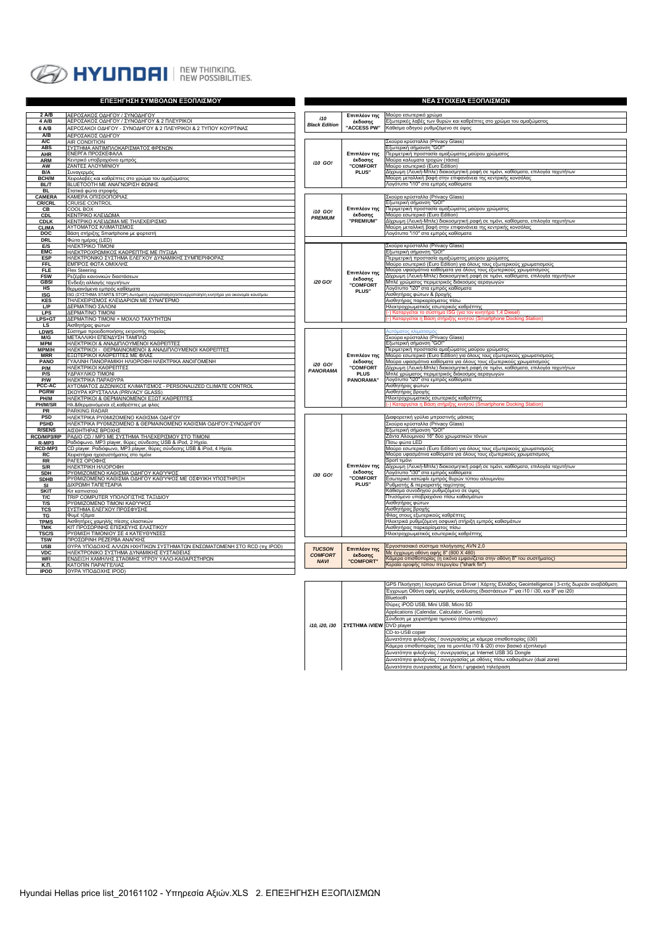

|                             | ΕΠΕΞΗΓΗΣΗ ΣΥΜΒΟΛΩΝ ΕΞΟΠΛΙΣΜΟΥ                                                                                                       | ΝΕΑ ΣΤΟΙΧΕΙΑ ΕΞΟΠΛΙΣΜΩΝ         |                          |                                                                                                                                                 |  |  |  |  |  |
|-----------------------------|-------------------------------------------------------------------------------------------------------------------------------------|---------------------------------|--------------------------|-------------------------------------------------------------------------------------------------------------------------------------------------|--|--|--|--|--|
| 2 A/B                       |                                                                                                                                     |                                 |                          |                                                                                                                                                 |  |  |  |  |  |
| 4 A/B                       | ΑΕΡΟΣΑΚΟΣ ΟΔΗΓΟΥ / ΣΥΝΟΔΗΓΟΥ<br>ΑΕΡΟΣΑΚΟΣ ΟΔΗΓΟΥ / ΣΥΝΟΔΗΓΟΥ & 2 ΠΛΕΥΡΙΚΟΙ                                                          | 110                             | Επιπλέον της<br>έκδοσης  | Μαύρο εσωτερικό χρώμα<br>Εξωτερικές λαβές των θυρών και καθρέπτες στο χρώμα του αμαξώματος                                                      |  |  |  |  |  |
| 6 A/B                       | ΑΕΡΟΣΑΚΟΙ ΟΔΗΓΟΥ - ΣΥΝΟΔΗΓΟΥ & 2 ΠΛΕΥΡΙΚΟΙ & 2 ΤΥΠΟΥ ΚΟΥΡΤΙΝΑΣ                                                                      | <b>Black Edition</b>            | "ACCESS PW"              | Κάθισμα οδηγού ρυθμιζόμενο σε ύψος                                                                                                              |  |  |  |  |  |
| A/B                         | ΑΕΡΟΣΑΚΟΣ ΟΔΗΓΟΥ                                                                                                                    |                                 |                          |                                                                                                                                                 |  |  |  |  |  |
| A/C                         | <b>AIR CONDITION</b>                                                                                                                |                                 |                          | Σκούρα κρύσταλλα (Privacy Glass)                                                                                                                |  |  |  |  |  |
| <b>ABS</b>                  | ΣΥΣΤΗΜΑ ΑΝΤΙΜΠΛΟΚΑΡΙΣΜΑΤΟΣ ΦΡΕΝΩΝ                                                                                                   |                                 |                          | Εξωτερική σήμανση "GO!"                                                                                                                         |  |  |  |  |  |
| <b>AHR</b>                  | ΕΝΕΡΓΑ ΠΡΟΣΚΕΦΑΛΑ<br>Κεντρικό υποβραχιόνιο εμπρός                                                                                   |                                 | Επιπλέον της<br>έκδοσης  | Περιμετρική προστασία αμαξώματος μαύρου χρώματος<br>Μαύρα καλυματα τροχών (τάσια)                                                               |  |  |  |  |  |
| <b>ARM</b><br>AW            | ΖΑΝΤΕΣ ΑΛΟΥΜΙΝΙΟΥ                                                                                                                   | <b>i10 GO!</b>                  | <b>"COMFORT</b>          | Μαύρο εσωτερικό (Euro Edition)                                                                                                                  |  |  |  |  |  |
| B/A                         | Συναγερμός                                                                                                                          |                                 | PLUS"                    | Δίχρωμη (Λευκή-Μπλε) διακοσμητική ραφή σε τιμόνι, καθίσματα, επιλογέα ταχυτήτων                                                                 |  |  |  |  |  |
| <b>BCH/M</b>                | <u>(ειρολαβές και καθρέπτες στο χρώμα του αμαξώματος</u>                                                                            |                                 |                          | Μαύρη μεταλλική βαφή στην επιφανάνεια της κεντρικής κονσόλας                                                                                    |  |  |  |  |  |
| <b>BL/T</b>                 | ΒLUETOOTH ΜΕ ΑΝΑΓΝΩΡΙΣΗ ΦΩΝΗΣ                                                                                                       |                                 |                          | Λογότυπο "i10" στα εμπρός καθίσματα                                                                                                             |  |  |  |  |  |
| <b>BL</b><br>CAMERA         | .<br>Στατικά φ <u>ώτα στροφής</u><br>ΚΑΜΕΡΑ ΟΠΙΣΘΟΠΟΡΙΑΣ                                                                            |                                 |                          | Σκούρα κρύσταλλα (Privacy Glass)                                                                                                                |  |  |  |  |  |
| <b>CR/CRL</b>               | <b>CRUISE CONTROL</b>                                                                                                               |                                 |                          | Εξωτερική σήμανση "GO!"                                                                                                                         |  |  |  |  |  |
| CВ                          | COOL BOX                                                                                                                            | <b>i10 GO!</b>                  | Επιπλέον της             | Περιμετρική προστασία αμαξώματος μαύρου χρώματος                                                                                                |  |  |  |  |  |
| CDL                         | ΚΕΝΤΡΙΚΟ ΚΛΕΙΔΩΜΑ                                                                                                                   | <b>PREMIUM</b>                  | έκδοσης<br>"PREMIUM"     | Μαύρο εσωτερικό (Euro Edition)                                                                                                                  |  |  |  |  |  |
| <b>CDLK</b><br><b>CLIMA</b> | ΚΕΝΤΡΙΚΟ ΚΛΕΙΔΩΜΑ ΜΕ ΤΗΛΕΧΕΙΡΙΣΜΟ<br><u>ΑΥΤΟΜΑΤΟΣ ΚΛΙΜΑΤΙΣΜΟΣ</u>                                                                   |                                 |                          | Δίχρωμη (Λευκή-Μπλε) διακοσμητική ραφή σε τιμόνι, καθίσματα, επιλογέα ταχυτήτων<br>Μαύρη μεταλλική βαφή στην επιφανάνεια της κεντρικής κονσόλας |  |  |  |  |  |
| DOC                         | Βάση στήριξης Smartphone με φορτιστή                                                                                                |                                 |                          | Λογότυπο "i10" στα εμπρός καθίσματα                                                                                                             |  |  |  |  |  |
| <b>DRL</b>                  | Φώτα ημέρας (LED)                                                                                                                   |                                 |                          |                                                                                                                                                 |  |  |  |  |  |
| E/S                         | HAEKTPIKO TIMONI                                                                                                                    |                                 |                          | Σκούρα κρύσταλλα (Privacy Glass)                                                                                                                |  |  |  |  |  |
| <b>EMC</b><br><b>ESP</b>    | ΗΛΕΚΤΡΟΧΡΩΜΙΚΟΣ ΚΑΘΡΕΠΤΗΣ ΜΕ ΠΥΞΙΔΑ<br>ΗΛΕΚΤΡΟΝΙΚΟ ΣΥΣΤΗΜΑ ΕΛΕΓΧΟΥ ΔΥΝΑΜΙΚΗΣ ΣΥΜΠΕΡΙΦΟΡΑΣ                                           |                                 |                          | Εξωτερική σήμανση "GO!"                                                                                                                         |  |  |  |  |  |
| <b>FFL</b>                  | ΕΜΠΡΟΣ ΦΩΤΑ ΟΜΙΧΛΗΣ                                                                                                                 |                                 |                          | Περιμετρική προστασία αμαξώματος μαύρου χρώματος<br>Μαύρο εσωτερικό (Euro Edition) για όλους τους εξωτερικούς χρωματισμούς                      |  |  |  |  |  |
| <b>FLE</b>                  | Flex Steering                                                                                                                       |                                 | Επιπλέον της             | Μαύρα υφασμάτινα καθίσματα για όλους τους εξωτερικούς χρωματισμούς                                                                              |  |  |  |  |  |
| <b>FSW</b>                  | Ρεζέρβα κανονικών διαστάσεων                                                                                                        |                                 | έκδοσης                  | Δίχρωμη (Λευκή-Μπλε) διακοσμητική ραφή σε τιμόνι, καθίσματα, επιλογέα ταχυτήτων                                                                 |  |  |  |  |  |
| <b>GBSI</b>                 | Ένδειξη αλλαγής ταχυτήτων                                                                                                           | i20 GO!                         | <b>"COMFORT</b>          | Μπλέ χρώματος περιμετρικός διάκοσμος αεραγωγών<br>\ογότυπο "i20" στα εμπρός καθίσματα                                                           |  |  |  |  |  |
| нs<br><b>ISG</b>            | θερμαινόμενα εμπρός καθίσματα<br>ISG (ΣΥΣΤΗΜΑ START& STOP) Αυτόματη ενεργοποίηση/απενεργοποίηση κινητήρα για οικονομία καυσίμου     |                                 | PLUS"                    | Αισθητήρας φώτων & βροχής                                                                                                                       |  |  |  |  |  |
| KES                         | ΤΗΛΕΧΕΙΡΙΣΜΟΣ ΚΛΕΙΔΑΡΙΩΝ ΜΕ ΣΥΝΑΓΕΡΜΟ                                                                                               |                                 |                          | Αισθητήρας παρκαρίσματος πίσω                                                                                                                   |  |  |  |  |  |
| LP                          | ΔΕΡΜΑΤΙΝΟ ΣΑΛΟΝΙ                                                                                                                    |                                 |                          | Ηλεκτροχρωματικός εσωτερικός καθρέπτης                                                                                                          |  |  |  |  |  |
| <b>LPS</b>                  | ΔΕΡΜΑΤΙΝΟ ΤΙΜΟΝΙ                                                                                                                    |                                 |                          | -) Καταργείται το σύστημα ISG (για τον κινητήρα 1,4 Diesel)<br>-) Καταργείται η Βάση στήριξης κινητού (Smartphone Docking Station)              |  |  |  |  |  |
| LPS+GT<br>LS                | ΔΕΡΜΑΤΙΝΟ ΤΙΜΟΝΙ + ΜΟΧΛΟ ΤΑΧΥΤΗΤΩΝ<br>Αισθητήρας φώτων                                                                              |                                 |                          |                                                                                                                                                 |  |  |  |  |  |
| <b>LDWS</b>                 | Σύστημα προειδοποιήσης εκτροπής πορείας                                                                                             |                                 |                          | υτόματος κλιματισμός                                                                                                                            |  |  |  |  |  |
| M/G                         | ΜΕΤΑΛΛΙΚΗ ΕΠΕΝΔΥΣΗ ΤΑΜΠΛΩ                                                                                                           |                                 |                          | Σκούρα κρύσταλλα (Privacy Glass)                                                                                                                |  |  |  |  |  |
| <b>MPM</b><br>MPM/H         | ΗΛΕΚΤΡΙΚΟΙ & ΑΝΑΔΙΠΛΟΥΜΕΝΟΙ ΚΑΘΡΕΠΤΕΣ<br>ΗΛΕΚΤΡΙΚΟΙ - ΘΕΡΜΑΙΝΟΜΕΝΟΙ & ΑΝΑΔΙΠΛΟΥΜΕΝΟΙ ΚΑΘΡΕΠΤΕΣ                                      |                                 |                          | Εξωτερική σήμανση "GO!"<br>Περιμετρική προστασία αμαξώματος μαύρου χρώματος                                                                     |  |  |  |  |  |
| <b>MRR</b>                  | ΕΞΩΤΕΡΙΚΟΙ ΚΑΘΡΕΠΤΕΣ ΜΕ ΦΛΑΣ                                                                                                        |                                 | Επιπλέον της             | Μαύρο εσωτερικό (Euro Edition) για όλους τους εξωτερικούς χρωματισμούς                                                                          |  |  |  |  |  |
| <b>PANO</b>                 | ΓΥΑΛΙΝΗ ΠΑΝΟΡΑΜΙΚΗ ΗΛΙΟΡΟΦΗ ΗΛΕΚΤΡΙΚΑ ΑΝΟΙΓΟΜΕΝΗ                                                                                    | i20 GO!                         | έκδοσης                  | Μαύρα υφασμάτινα καθίσματα για όλους τους εξωτερικούς χρωματισμούς                                                                              |  |  |  |  |  |
| P/M                         | ΗΛΕΚΤΡΙΚΟΙ ΚΑΘΡΕΠΤΕΣ                                                                                                                | PANORAMA                        | <b>"COMFORT</b>          | Δίχρωμη (Λευκή-Μπλε) διακοσμητική ραφή σε τιμόνι, καθίσματα, επιλογέα ταχυτήτων                                                                 |  |  |  |  |  |
| P/S<br>P/W                  | ΥΔΡΑΥΛΙΚΟ ΤΙΜΟΝΙ<br>НЛЕКТРІКА ПАРАӨҮРА                                                                                              |                                 | <b>PLUS</b><br>PANORAMA" | Μπλέ χρώματος περιμετρικός διάκοσμος αεραγωγών<br>Λογότυπο "i20" στα εμπρός καθίσματα                                                           |  |  |  |  |  |
| PCC-AC                      | ΑΥΤΟΜΑΤΟΣ ΔΙΖΩΝΙΚΟΣ ΚΛΙΜΑΤΙΣΜΟΣ - PERSONALIZED CLIMATE CONTROL                                                                      |                                 |                          | Αισθητήρας φώτων                                                                                                                                |  |  |  |  |  |
| <b>PGRW</b>                 | ΣΚΟΥΡΑ ΚΡΥΣΤΑΛΛΑ (PRIVACY GLASS)                                                                                                    |                                 |                          | Αισθητήρας βροχής                                                                                                                               |  |  |  |  |  |
| PH/M                        | ΗΛΕΚΤΡΙΚΟΙ & ΘΕΡΜΑΙΝΟΜΕΝΟΙ ΕΞΩΤ.ΚΑΘΡΕΠΤΕΣ                                                                                           |                                 |                          | Ηλεκτροχρωματικός εσωτερικός καθρέπτης                                                                                                          |  |  |  |  |  |
| PH/M/SR<br>PR               | Ηλ.&θερμαινόμενοι εξ.καθρέπτες με φλας<br>PARKING RADAR                                                                             |                                 |                          | ξης κινητού (Smartphone Docking Station<br>Καταρνείται η Βάση<br>mác                                                                            |  |  |  |  |  |
| <b>PSD</b>                  | ΗΛΕΚΤΡΙΚΑ ΡΥΘΜΙΖΟΜΕΝΟ ΚΑΘΙΣΜΑ ΟΔΗΓΟΥ                                                                                                |                                 |                          | Διαφορετική γρύλια μπροστινής μάσκας                                                                                                            |  |  |  |  |  |
| <b>PSHD</b>                 | ΗΛΕΚΤΡΙΚΑ ΡΥΘΜΙΖΟΜΕΝΟ & ΘΕΡΜΑΙΝΟΜΕΝΟ ΚΑΘΙΣΜΑ ΟΔΗΓΟΥ-ΣΥΝΟΔΗΓΟΥ                                                                       |                                 |                          | Σκούρα κρύσταλλα (Privacy Glass)                                                                                                                |  |  |  |  |  |
| <b>R/SENS</b>               | <u>ΑΙΣΘΗΤΗΡΑΣ ΒΡΟΧΗΣ</u>                                                                                                            |                                 |                          | Εξωτερική σήμανση "GO!"                                                                                                                         |  |  |  |  |  |
| RCD/MP3/RP<br>R-MP3         | ΡΑΔΙΟ CD / ΜΡ3 ΜΕ ΣΥΣΤΗΜΑ ΤΗΛΕΧΕΡΙΣΜΟΥ ΣΤΟ ΤΙΜΟΝΙ                                                                                   |                                 |                          | Ζάντα Αλουμινιού 16" δύο χρωματικών τόνων<br>Πίσω φώτα LED                                                                                      |  |  |  |  |  |
| RCD-MP3                     | Ραδιόφωνο, MP3 player, θύρες σύνδεσης USB & iPod, 2 Ηχεία.<br>CD player. Ραδιόφωνο, MP3 player, θύρες σύνδεσης USB & iPod, 4 Ηχεία. |                                 |                          | Μαύρο εσωτερικό (Euro Edition) για όλους τους εξωτερικούς χρωματισμούς                                                                          |  |  |  |  |  |
| <b>RC</b>                   | Χειριστήρια ηχοσυστήματος στο τιμόνι                                                                                                |                                 |                          | Μαύρα υφασμάτινα καθίσματα για όλους τους εξωτερικούς χρωματισμούς                                                                              |  |  |  |  |  |
| <b>RR</b>                   | ΡΑΓΕΣ ΟΡΟΦΗΣ                                                                                                                        |                                 |                          | Sport τιμόνι                                                                                                                                    |  |  |  |  |  |
| S/R                         | ΗΛΕΚΤΡΙΚΗ ΗΛΙΟΡΟΦΗ                                                                                                                  |                                 | Επιπλέον της<br>έκδοσης  | Δίχρωμη (Λευκή-Μπλε) διακοσμητική ραφή σε τιμόνι, καθίσματα, επιλογέα ταχυτήτων<br>Λογότυπο "ί30" στα εμπρός καθίσματα                          |  |  |  |  |  |
| <b>SDH</b><br><b>SDHB</b>   | ΡΥΘΜΙΖΟΜΕΝΟ ΚΑΘΙΣΜΑ ΟΔΗΓΟΥ ΚΑΘΎΨΟΣ<br>ΡΥΘΜΙΖΟΜΕΝΟ ΚΑΘΙΣΜΑ ΟΔΗΓΟΥ ΚΑΘΎΨΟΣ ΜΕ ΟΣΦΥΙΚΗ ΥΠΟΣΤΗΡΙΞΗ                                      | i30 GO!                         | <b>"COMFORT</b>          | Εσωτερικό κατώφλι εμπρός θυρών τύπου αλουμινίου                                                                                                 |  |  |  |  |  |
| SI                          | ΔΙΧΡΩΜΗ ΤΑΠΕΤΣΑΡΙΑ                                                                                                                  |                                 | PLUS"                    | <sup>γ</sup> υθμιστής & περιοριστής ταχύτητας                                                                                                   |  |  |  |  |  |
| <b>SKIT</b>                 | Κιτ καπνιστού                                                                                                                       |                                 |                          | Κάθισμα συνοδηγού ρυθμιζόμενο σε ύψος                                                                                                           |  |  |  |  |  |
| T/C                         | ΤRIP COMPUTER ΥΠΟΛΟΓΙΣΤΗΣ ΤΑΞΙΔΙΟΥ                                                                                                  |                                 |                          | Ττυσόμενο υποβραχιόνιο πίσω καθισμάτων                                                                                                          |  |  |  |  |  |
| T/S<br>TCS                  | ΡΥΘΜΙΖΟΜΕΝΟ ΤΙΜΟΝΙ ΚΑΘΎΨΟΣ<br>ΣΥΣΤΗΜΑ ΕΛΕΓΧΟΥ ΠΡΟΣΦΥΣΗΣ                                                                             |                                 |                          | Αισθητήρας φώτων<br>Αισθητήρας βροχής                                                                                                           |  |  |  |  |  |
| <b>TG</b>                   | Φυμέ τζάμια                                                                                                                         |                                 |                          | Φλας στους εξωτερικούς καθρέπτες                                                                                                                |  |  |  |  |  |
| <b>TPMS</b>                 | Αισθητήρες χαμηλής πίεσης ελαστικών                                                                                                 |                                 |                          | Ηλεκτρικά ρυθμιζόμενη οσφυική στήριξη εμπρός καθισμάτων                                                                                         |  |  |  |  |  |
| TMK<br><b>TSC/S</b>         | ΚΙΤ ΠΡΟΣΩΡΙΝΗΣ ΕΠΙΣΚΕΥΗΣ ΕΛΑΣΤΙΚΟΥ                                                                                                  |                                 |                          | Αισθητήρας παρκαρίσματος πίσω<br>Ηλεκτροχρωματικός εσωτερικός καθρέπτης                                                                         |  |  |  |  |  |
| <b>TSW</b>                  | ΡΥΘΜΙΣΗ ΤΙΜΟΝΙΟΥ ΣΕ 4 ΚΑΤΕΥΘΥΝΣΕΣ<br>ΠΡΟΣΩΡΙΝΗ ΡΕΖΕΡΒΑ ΑΝΑΓΚΗΣ                                                                      |                                 |                          |                                                                                                                                                 |  |  |  |  |  |
| <b>USB</b>                  | ΘΥΡΑ ΥΠΟΔΟΧΗΣ ΑΛΛΩΝ ΗΧΗΤΙΚΩΝ ΣΥΣΤΗΜΑΤΩΝ ΕΝΣΩΜΑΤΩΜΕΝΗ ΣΤΟ RCD (πχ IPOD)                                                              |                                 |                          | Εργοστασιακό σύστημα πλοήγησης AVN 2,0                                                                                                          |  |  |  |  |  |
| <b>VDC</b>                  | ΗΛΕΚΤΡΟΝΙΚΟ ΣΥΣΤΗΜΑ ΔΥΝΑΜΙΚΗΣ ΕΥΣΤΑΘΕΙΑΣ                                                                                            | <b>TUCSON</b><br><b>COMFORT</b> | Επιπλέον της<br>έκδοσης  | <u>Με έγχρωμη οθόνη αφής 8" (800 Χ 480)</u>                                                                                                     |  |  |  |  |  |
| WFI                         | ΕΝΔΕΙΞΗ ΧΑΜΗΛΗΣ ΣΤΑΘΜΗΣ ΥΓΡΟΥ ΥΑΛΟ-ΚΑΘΑΡΙΣΤΗΡΩΝ                                                                                     | <b>NAVI</b>                     | "COMFORT"                | ζάμερα οπισθοπορίας (η εικόνα εμφανίζεται στην οθόνη 8" του συστήματος)                                                                         |  |  |  |  |  |
| К.П.<br><b>IPOD</b>         | ΚΑΤΟΠΙΝ ΠΑΡΑΓΓΕΛΙΑΣ<br>ΘΥΡΑ ΥΠΟΔΟΧΗΣ IPOD)                                                                                          |                                 |                          | <εραία οροφής τύπου πτερυγίου ("shark fin")                                                                                                     |  |  |  |  |  |
|                             |                                                                                                                                     |                                 |                          |                                                                                                                                                 |  |  |  |  |  |

|               |  |                                 | GPS Πλοήγηση   λογισμικό Ginius Driver   Χάρτης Ελλάδος Geointelligence   3-ετής δωρεάν αναβάθμιση |
|---------------|--|---------------------------------|----------------------------------------------------------------------------------------------------|
|               |  |                                 | Έγχρωμη Οθόνη αφής υψηλής ανάλυσης (διαστάσεων 7" για i10 / i30, και 8" για i20)                   |
|               |  |                                 | Bluetooth                                                                                          |
|               |  |                                 | Θύρες iPOD USB, Mini USB, Micro SD                                                                 |
|               |  |                                 | Applications (Calendar, Calculator, Games)                                                         |
| i10, i20, i30 |  |                                 | Σύνδεση με χειριστήρια τιμονιού (όπου υπάρχουν)                                                    |
|               |  | <b>ΣΥΣΤΗΜΑ iVIEW</b> DVD player |                                                                                                    |
|               |  |                                 | CD-to-USB copier                                                                                   |
|               |  |                                 | Δυνατότητα φιλοξενίας / συνεργασίας με κάμερα οπισθοπορίας (i30)                                   |
|               |  |                                 | Κάμερα οπισθοπορίας (για τα μοντέλα i10 & i20) στον βασικό εξοπλισμό                               |
|               |  |                                 | Δυνατότητα φιλοξενίας / συνεργασίας με Internet USB 3G Dongle                                      |
|               |  |                                 | Δυνατότητα φιλοξενίας / συνεργασίας με οθόνες πίσω καθισμάτων (dual zone)                          |
|               |  |                                 | Δυνατότητα συνεργασίας με δέκτη / ψηφιακή τηλεόραση                                                |